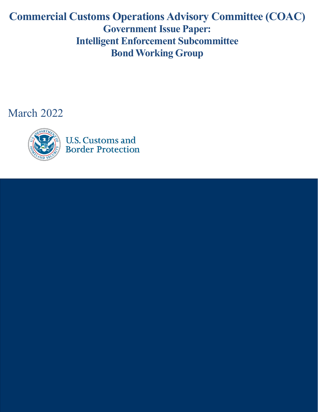# **Commercial Customs Operations Advisory Committee (COAC) Government Issue Paper: Intelligent Enforcement Subcommittee Bond Working Group**

March 2022

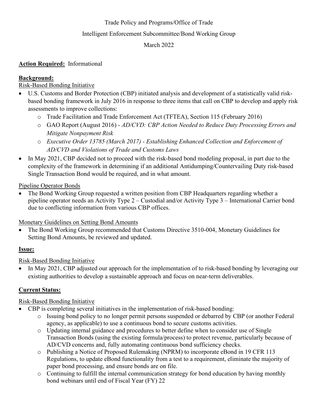## Trade Policy and Programs/Office of Trade

#### Intelligent Enforcement Subcommittee/Bond Working Group

#### March 2022

# **Action Required:** Informational

## **Background:**

## Risk-Based Bonding Initiative

- U.S. Customs and Border Protection (CBP) initiated analysis and development of a statistically valid riskbased bonding framework in July 2016 in response to three items that call on CBP to develop and apply risk assessments to improve collections:
	- o Trade Facilitation and Trade Enforcement Act (TFTEA), Section 115 (February 2016)
	- o GAO Report (August 2016) - *AD/CVD: CBP Action Needed to Reduce Duty Processing Errors and Mitigate Nonpayment Risk*
	- o *Executive Order 13785 (March 2017) Establishing Enhanced Collection and Enforcement of AD/CVD and Violations of Trade and Customs Laws*
- In May 2021, CBP decided not to proceed with the risk-based bond modeling proposal, in part due to the complexity of the framework in determining if an additional Antidumping/Countervailing Duty risk-based Single Transaction Bond would be required, and in what amount.

Pipeline Operator Bonds

• The Bond Working Group requested a written position from CBP Headquarters regarding whether a pipeline operator needs an Activity Type 2 – Custodial and/or Activity Type 3 – International Carrier bond due to conflicting information from various CBP offices.

Monetary Guidelines on Setting Bond Amounts

• The Bond Working Group recommended that Customs Directive 3510-004, Monetary Guidelines for Setting Bond Amounts, be reviewed and updated.

#### **Issue:**

# Risk-Based Bonding Initiative

• In May 2021, CBP adjusted our approach for the implementation of to risk-based bonding by leveraging our existing authorities to develop a sustainable approach and focus on near-term deliverables.

#### **Current Status:**

# Risk-Based Bonding Initiative

- CBP is completing several initiatives in the implementation of risk-based bonding:
	- o Issuing bond policy to no longer permit persons suspended or debarred by CBP (or another Federal agency, as applicable) to use a continuous bond to secure customs activities.
	- o Updating internal guidance and procedures to better define when to consider use of Single Transaction Bonds (using the existing formula/process) to protect revenue, particularly because of AD/CVD concerns and, fully automating continuous bond sufficiency checks.
	- o Publishing a Notice of Proposed Rulemaking (NPRM) to incorporate eBond in 19 CFR 113 Regulations, to update eBond functionality from a test to a requirement, eliminate the majority of paper bond processing, and ensure bonds are on file.
	- $\circ$  Continuing to fulfill the internal communication strategy for bond education by having monthly bond webinars until end of Fiscal Year (FY) 22